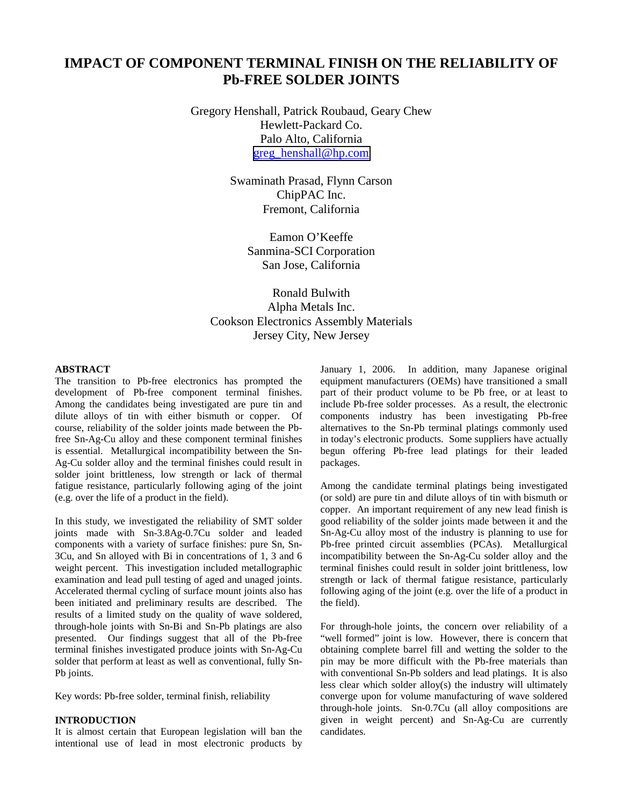# **IMPACT OF COMPONENT TERMINAL FINISH ON THE RELIABILITY OF Pb-FREE SOLDER JOINTS**

Gregory Henshall, Patrick Roubaud, Geary Chew Hewlett-Packard Co. Palo Alto, California [greg\\_henshall@hp.com](mailto:greg_henshall@hp.com)

> Swaminath Prasad, Flynn Carson ChipPAC Inc. Fremont, California

> > Eamon O'Keeffe Sanmina-SCI Corporation San Jose, California

Ronald Bulwith Alpha Metals Inc. Cookson Electronics Assembly Materials Jersey City, New Jersey

## **ABSTRACT**

The transition to Pb-free electronics has prompted the development of Pb-free component terminal finishes. Among the candidates being investigated are pure tin and dilute alloys of tin with either bismuth or copper. Of course, reliability of the solder joints made between the Pbfree Sn-Ag-Cu alloy and these component terminal finishes is essential. Metallurgical incompatibility between the Sn-Ag-Cu solder alloy and the terminal finishes could result in solder joint brittleness, low strength or lack of thermal fatigue resistance, particularly following aging of the joint (e.g. over the life of a product in the field).

In this study, we investigated the reliability of SMT solder joints made with Sn-3.8Ag-0.7Cu solder and leaded components with a variety of surface finishes: pure Sn, Sn-3Cu, and Sn alloyed with Bi in concentrations of 1, 3 and 6 weight percent. This investigation included metallographic examination and lead pull testing of aged and unaged joints. Accelerated thermal cycling of surface mount joints also has been initiated and preliminary results are described. The results of a limited study on the quality of wave soldered, through-hole joints with Sn-Bi and Sn-Pb platings are also presented. Our findings suggest that all of the Pb-free terminal finishes investigated produce joints with Sn-Ag-Cu solder that perform at least as well as conventional, fully Sn-Pb joints.

Key words: Pb-free solder, terminal finish, reliability

#### **INTRODUCTION**

It is almost certain that European legislation will ban the intentional use of lead in most electronic products by January 1, 2006. In addition, many Japanese original equipment manufacturers (OEMs) have transitioned a small part of their product volume to be Pb free, or at least to include Pb-free solder processes. As a result, the electronic components industry has been investigating Pb-free alternatives to the Sn-Pb terminal platings commonly used in today's electronic products. Some suppliers have actually begun offering Pb-free lead platings for their leaded packages.

Among the candidate terminal platings being investigated (or sold) are pure tin and dilute alloys of tin with bismuth or copper. An important requirement of any new lead finish is good reliability of the solder joints made between it and the Sn-Ag-Cu alloy most of the industry is planning to use for Pb-free printed circuit assemblies (PCAs). Metallurgical incompatibility between the Sn-Ag-Cu solder alloy and the terminal finishes could result in solder joint brittleness, low strength or lack of thermal fatigue resistance, particularly following aging of the joint (e.g. over the life of a product in the field).

For through-hole joints, the concern over reliability of a "well formed" joint is low. However, there is concern that obtaining complete barrel fill and wetting the solder to the pin may be more difficult with the Pb-free materials than with conventional Sn-Pb solders and lead platings. It is also less clear which solder alloy(s) the industry will ultimately converge upon for volume manufacturing of wave soldered through-hole joints. Sn-0.7Cu (all alloy compositions are given in weight percent) and Sn-Ag-Cu are currently candidates.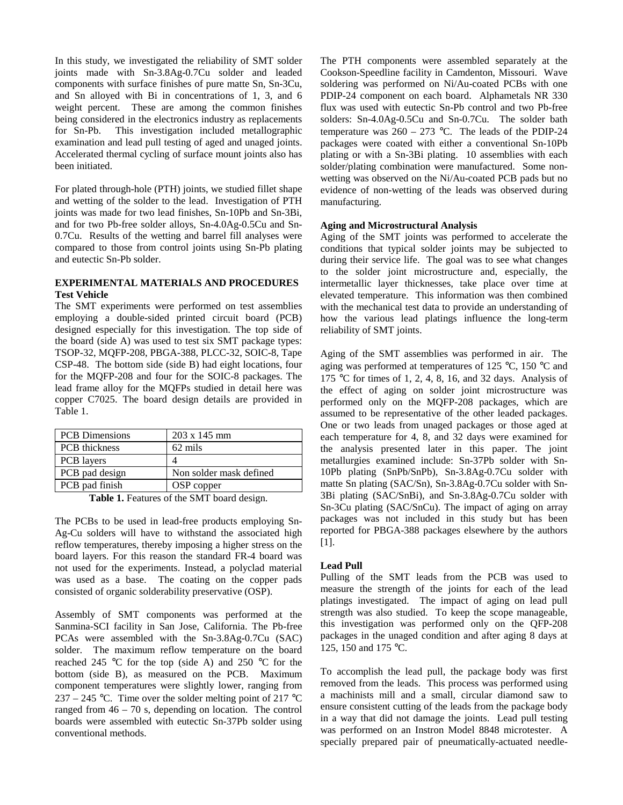In this study, we investigated the reliability of SMT solder joints made with Sn-3.8Ag-0.7Cu solder and leaded components with surface finishes of pure matte Sn, Sn-3Cu, and Sn alloyed with Bi in concentrations of 1, 3, and 6 weight percent. These are among the common finishes being considered in the electronics industry as replacements for Sn-Pb. This investigation included metallographic examination and lead pull testing of aged and unaged joints. Accelerated thermal cycling of surface mount joints also has been initiated.

For plated through-hole (PTH) joints, we studied fillet shape and wetting of the solder to the lead. Investigation of PTH joints was made for two lead finishes, Sn-10Pb and Sn-3Bi, and for two Pb-free solder alloys, Sn-4.0Ag-0.5Cu and Sn-0.7Cu. Results of the wetting and barrel fill analyses were compared to those from control joints using Sn-Pb plating and eutectic Sn-Pb solder.

# **EXPERIMENTAL MATERIALS AND PROCEDURES Test Vehicle**

The SMT experiments were performed on test assemblies employing a double-sided printed circuit board (PCB) designed especially for this investigation. The top side of the board (side A) was used to test six SMT package types: TSOP-32, MQFP-208, PBGA-388, PLCC-32, SOIC-8, Tape CSP-48. The bottom side (side B) had eight locations, four for the MQFP-208 and four for the SOIC-8 packages. The lead frame alloy for the MQFPs studied in detail here was copper C7025. The board design details are provided in Table 1.

| <b>PCB</b> Dimensions | $203 \times 145$ mm     |  |
|-----------------------|-------------------------|--|
| <b>PCB</b> thickness  | 62 mils                 |  |
| PCB layers            |                         |  |
| PCB pad design        | Non solder mask defined |  |
| PCB pad finish        | OSP copper              |  |

**Table 1.** Features of the SMT board design.

The PCBs to be used in lead-free products employing Sn-Ag-Cu solders will have to withstand the associated high reflow temperatures, thereby imposing a higher stress on the board layers. For this reason the standard FR-4 board was not used for the experiments. Instead, a polyclad material was used as a base. The coating on the copper pads consisted of organic solderability preservative (OSP).

Assembly of SMT components was performed at the Sanmina-SCI facility in San Jose, California. The Pb-free PCAs were assembled with the Sn-3.8Ag-0.7Cu (SAC) solder. The maximum reflow temperature on the board reached 245 °C for the top (side A) and 250 °C for the bottom (side B), as measured on the PCB. Maximum component temperatures were slightly lower, ranging from 237 – 245 °C. Time over the solder melting point of 217 °C ranged from 46 – 70 s, depending on location. The control boards were assembled with eutectic Sn-37Pb solder using conventional methods.

The PTH components were assembled separately at the Cookson-Speedline facility in Camdenton, Missouri. Wave soldering was performed on Ni/Au-coated PCBs with one PDIP-24 component on each board. Alphametals NR 330 flux was used with eutectic Sn-Pb control and two Pb-free solders: Sn-4.0Ag-0.5Cu and Sn-0.7Cu. The solder bath temperature was  $260 - 273$  °C. The leads of the PDIP-24 packages were coated with either a conventional Sn-10Pb plating or with a Sn-3Bi plating. 10 assemblies with each solder/plating combination were manufactured. Some nonwetting was observed on the Ni/Au-coated PCB pads but no evidence of non-wetting of the leads was observed during manufacturing.

# **Aging and Microstructural Analysis**

Aging of the SMT joints was performed to accelerate the conditions that typical solder joints may be subjected to during their service life. The goal was to see what changes to the solder joint microstructure and, especially, the intermetallic layer thicknesses, take place over time at elevated temperature. This information was then combined with the mechanical test data to provide an understanding of how the various lead platings influence the long-term reliability of SMT joints.

Aging of the SMT assemblies was performed in air. The aging was performed at temperatures of 125 °C, 150 °C and 175 °C for times of 1, 2, 4, 8, 16, and 32 days. Analysis of the effect of aging on solder joint microstructure was performed only on the MQFP-208 packages, which are assumed to be representative of the other leaded packages. One or two leads from unaged packages or those aged at each temperature for 4, 8, and 32 days were examined for the analysis presented later in this paper. The joint metallurgies examined include: Sn-37Pb solder with Sn-10Pb plating (SnPb/SnPb), Sn-3.8Ag-0.7Cu solder with matte Sn plating (SAC/Sn), Sn-3.8Ag-0.7Cu solder with Sn-3Bi plating (SAC/SnBi), and Sn-3.8Ag-0.7Cu solder with Sn-3Cu plating (SAC/SnCu). The impact of aging on array packages was not included in this study but has been reported for PBGA-388 packages elsewhere by the authors [1].

# **Lead Pull**

Pulling of the SMT leads from the PCB was used to measure the strength of the joints for each of the lead platings investigated. The impact of aging on lead pull strength was also studied. To keep the scope manageable, this investigation was performed only on the QFP-208 packages in the unaged condition and after aging 8 days at 125, 150 and 175 °C.

To accomplish the lead pull, the package body was first removed from the leads. This process was performed using a machinists mill and a small, circular diamond saw to ensure consistent cutting of the leads from the package body in a way that did not damage the joints. Lead pull testing was performed on an Instron Model 8848 microtester. A specially prepared pair of pneumatically-actuated needle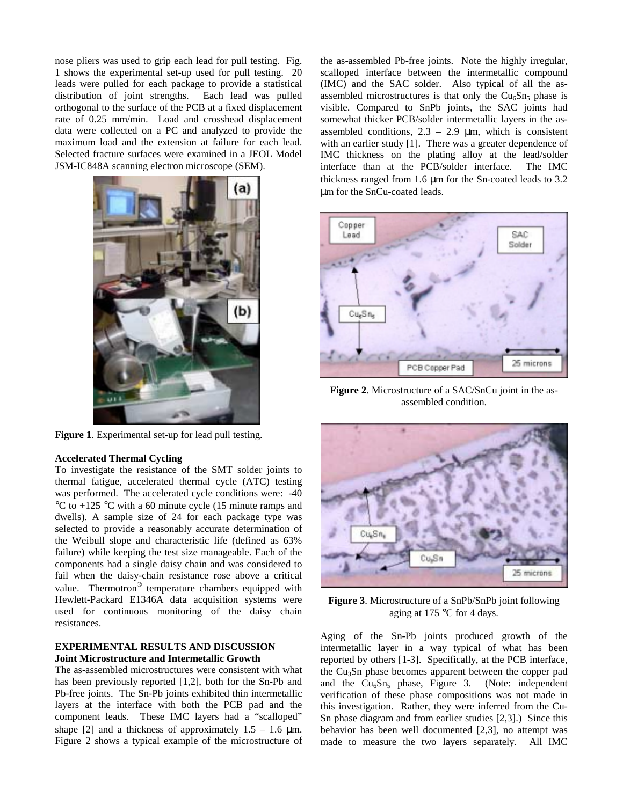nose pliers was used to grip each lead for pull testing. Fig. 1 shows the experimental set-up used for pull testing. 20 leads were pulled for each package to provide a statistical distribution of joint strengths. Each lead was pulled orthogonal to the surface of the PCB at a fixed displacement rate of 0.25 mm/min. Load and crosshead displacement data were collected on a PC and analyzed to provide the maximum load and the extension at failure for each lead. Selected fracture surfaces were examined in a JEOL Model JSM-IC848A scanning electron microscope (SEM).



**Figure 1**. Experimental set-up for lead pull testing.

#### **Accelerated Thermal Cycling**

To investigate the resistance of the SMT solder joints to thermal fatigue, accelerated thermal cycle (ATC) testing was performed. The accelerated cycle conditions were:  $-40$ °C to +125 °C with a 60 minute cycle (15 minute ramps and dwells). A sample size of 24 for each package type was selected to provide a reasonably accurate determination of the Weibull slope and characteristic life (defined as 63% failure) while keeping the test size manageable. Each of the components had a single daisy chain and was considered to fail when the daisy-chain resistance rose above a critical value. Thermotron<sup>®</sup> temperature chambers equipped with Hewlett-Packard E1346A data acquisition systems were used for continuous monitoring of the daisy chain resistances.

#### **EXPERIMENTAL RESULTS AND DISCUSSION Joint Microstructure and Intermetallic Growth**

The as-assembled microstructures were consistent with what has been previously reported [1,2], both for the Sn-Pb and Pb-free joints. The Sn-Pb joints exhibited thin intermetallic layers at the interface with both the PCB pad and the component leads. These IMC layers had a "scalloped" shape [2] and a thickness of approximately  $1.5 - 1.6 \mu m$ . Figure 2 shows a typical example of the microstructure of the as-assembled Pb-free joints. Note the highly irregular, scalloped interface between the intermetallic compound (IMC) and the SAC solder. Also typical of all the asassembled microstructures is that only the  $Cu<sub>6</sub>Sn<sub>5</sub>$  phase is visible. Compared to SnPb joints, the SAC joints had somewhat thicker PCB/solder intermetallic layers in the asassembled conditions,  $2.3 - 2.9 \mu m$ , which is consistent with an earlier study [1]. There was a greater dependence of IMC thickness on the plating alloy at the lead/solder interface than at the PCB/solder interface. The IMC thickness ranged from 1.6 µm for the Sn-coated leads to 3.2 µm for the SnCu-coated leads.



**Figure 2**. Microstructure of a SAC/SnCu joint in the asassembled condition.



**Figure 3**. Microstructure of a SnPb/SnPb joint following aging at 175 °C for 4 days.

Aging of the Sn-Pb joints produced growth of the intermetallic layer in a way typical of what has been reported by others [1-3]. Specifically, at the PCB interface, the Cu<sub>3</sub>Sn phase becomes apparent between the copper pad and the  $Cu<sub>6</sub>Sn<sub>5</sub>$  phase, Figure 3. (Note: independent verification of these phase compositions was not made in this investigation. Rather, they were inferred from the Cu-Sn phase diagram and from earlier studies [2,3].) Since this behavior has been well documented [2,3], no attempt was made to measure the two layers separately. All IMC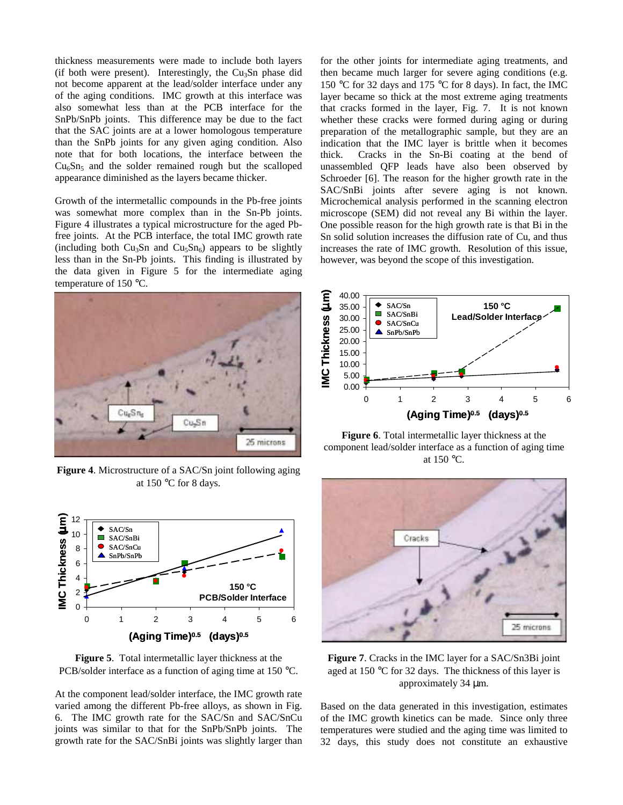thickness measurements were made to include both layers (if both were present). Interestingly, the  $Cu<sub>3</sub>Sn$  phase did not become apparent at the lead/solder interface under any of the aging conditions. IMC growth at this interface was also somewhat less than at the PCB interface for the SnPb/SnPb joints. This difference may be due to the fact that the SAC joints are at a lower homologous temperature than the SnPb joints for any given aging condition. Also note that for both locations, the interface between the  $Cu<sub>6</sub>Sn<sub>5</sub>$  and the solder remained rough but the scalloped appearance diminished as the layers became thicker.

Growth of the intermetallic compounds in the Pb-free joints was somewhat more complex than in the Sn-Pb joints. Figure 4 illustrates a typical microstructure for the aged Pbfree joints. At the PCB interface, the total IMC growth rate (including both  $Cu<sub>3</sub>Sn$  and  $Cu<sub>5</sub>Sn<sub>6</sub>$ ) appears to be slightly less than in the Sn-Pb joints. This finding is illustrated by the data given in Figure 5 for the intermediate aging temperature of 150 °C.



**Figure 4**. Microstructure of a SAC/Sn joint following aging at 150 °C for 8 days.



**Figure 5**. Total intermetallic layer thickness at the PCB/solder interface as a function of aging time at 150 °C.

At the component lead/solder interface, the IMC growth rate varied among the different Pb-free alloys, as shown in Fig. 6. The IMC growth rate for the SAC/Sn and SAC/SnCu joints was similar to that for the SnPb/SnPb joints. The growth rate for the SAC/SnBi joints was slightly larger than

for the other joints for intermediate aging treatments, and then became much larger for severe aging conditions (e.g. 150 °C for 32 days and 175 °C for 8 days). In fact, the IMC layer became so thick at the most extreme aging treatments that cracks formed in the layer, Fig. 7. It is not known whether these cracks were formed during aging or during preparation of the metallographic sample, but they are an indication that the IMC layer is brittle when it becomes thick. Cracks in the Sn-Bi coating at the bend of unassembled QFP leads have also been observed by Schroeder [6]. The reason for the higher growth rate in the SAC/SnBi joints after severe aging is not known. Microchemical analysis performed in the scanning electron microscope (SEM) did not reveal any Bi within the layer. One possible reason for the high growth rate is that Bi in the Sn solid solution increases the diffusion rate of Cu, and thus increases the rate of IMC growth. Resolution of this issue, however, was beyond the scope of this investigation.



**Figure 6**. Total intermetallic layer thickness at the component lead/solder interface as a function of aging time at 150 °C.



**Figure 7**. Cracks in the IMC layer for a SAC/Sn3Bi joint aged at 150 °C for 32 days. The thickness of this layer is approximately 34 µm.

Based on the data generated in this investigation, estimates of the IMC growth kinetics can be made. Since only three temperatures were studied and the aging time was limited to 32 days, this study does not constitute an exhaustive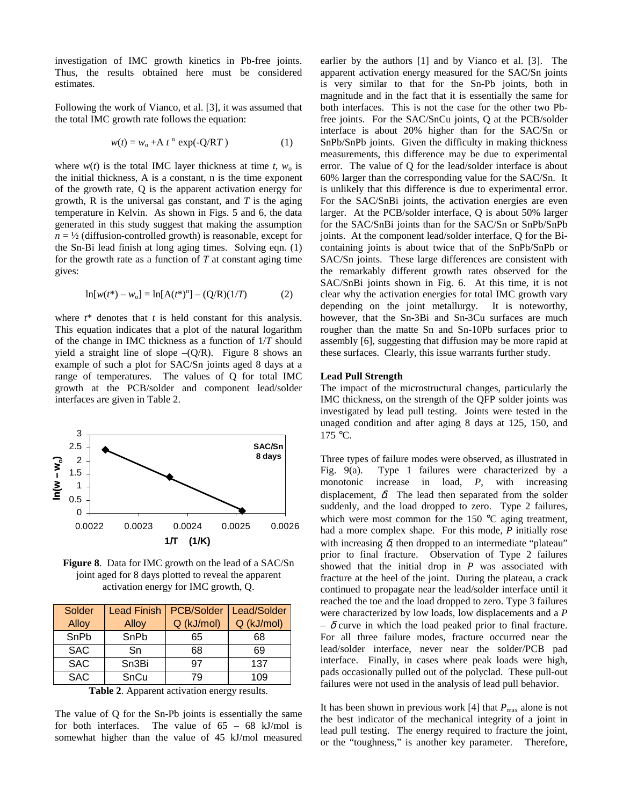investigation of IMC growth kinetics in Pb-free joints. Thus, the results obtained here must be considered estimates.

Following the work of Vianco, et al. [3], it was assumed that the total IMC growth rate follows the equation:

$$
w(t) = w_0 + A t^n \exp(-Q/RT)
$$
 (1)

where  $w(t)$  is the total IMC layer thickness at time *t*,  $w_0$  is the initial thickness, A is a constant, n is the time exponent of the growth rate, Q is the apparent activation energy for growth, R is the universal gas constant, and *T* is the aging temperature in Kelvin. As shown in Figs. 5 and 6, the data generated in this study suggest that making the assumption  $n = \frac{1}{2}$  (diffusion-controlled growth) is reasonable, except for the Sn-Bi lead finish at long aging times. Solving eqn. (1) for the growth rate as a function of *T* at constant aging time gives:

$$
\ln[w(t^*) - w_0] = \ln[A(t^*)^n] - (Q/R)(1/T) \tag{2}
$$

where  $t^*$  denotes that  $t$  is held constant for this analysis. This equation indicates that a plot of the natural logarithm of the change in IMC thickness as a function of 1/*T* should yield a straight line of slope  $-(Q/R)$ . Figure 8 shows an example of such a plot for SAC/Sn joints aged 8 days at a range of temperatures. The values of Q for total IMC growth at the PCB/solder and component lead/solder interfaces are given in Table 2.



**Figure 8**. Data for IMC growth on the lead of a SAC/Sn joint aged for 8 days plotted to reveal the apparent activation energy for IMC growth, Q.

| Solder     | <b>Lead Finish</b> | <b>PCB/Solder</b> | Lead/Solder |
|------------|--------------------|-------------------|-------------|
| Alloy      | Alloy              | Q (kJ/mol)        | Q (kJ/mol)  |
| SnPb       | SnPb               | 65                | 68          |
| <b>SAC</b> | Sn                 | 68                | 69          |
| <b>SAC</b> | Sn <sub>3</sub> Bi | 97                | 137         |
| <b>SAC</b> | SnCu               | 79                | 109         |

**Table 2**. Apparent activation energy results.

The value of Q for the Sn-Pb joints is essentially the same for both interfaces. The value of 65 – 68 kJ/mol is somewhat higher than the value of 45 kJ/mol measured earlier by the authors [1] and by Vianco et al. [3]. The apparent activation energy measured for the SAC/Sn joints is very similar to that for the Sn-Pb joints, both in magnitude and in the fact that it is essentially the same for both interfaces. This is not the case for the other two Pbfree joints. For the SAC/SnCu joints, Q at the PCB/solder interface is about 20% higher than for the SAC/Sn or SnPb/SnPb joints. Given the difficulty in making thickness measurements, this difference may be due to experimental error. The value of Q for the lead/solder interface is about 60% larger than the corresponding value for the SAC/Sn. It is unlikely that this difference is due to experimental error. For the SAC/SnBi joints, the activation energies are even larger. At the PCB/solder interface, Q is about 50% larger for the SAC/SnBi joints than for the SAC/Sn or SnPb/SnPb joints. At the component lead/solder interface, Q for the Bicontaining joints is about twice that of the SnPb/SnPb or SAC/Sn joints. These large differences are consistent with the remarkably different growth rates observed for the SAC/SnBi joints shown in Fig. 6. At this time, it is not clear why the activation energies for total IMC growth vary depending on the joint metallurgy. It is noteworthy, however, that the Sn-3Bi and Sn-3Cu surfaces are much rougher than the matte Sn and Sn-10Pb surfaces prior to assembly [6], suggesting that diffusion may be more rapid at these surfaces. Clearly, this issue warrants further study.

#### **Lead Pull Strength**

The impact of the microstructural changes, particularly the IMC thickness, on the strength of the QFP solder joints was investigated by lead pull testing. Joints were tested in the unaged condition and after aging 8 days at 125, 150, and 175 °C.

Three types of failure modes were observed, as illustrated in Fig. 9(a). Type 1 failures were characterized by a monotonic increase in load, *P*, with increasing displacement,  $\delta$ . The lead then separated from the solder suddenly, and the load dropped to zero. Type 2 failures, which were most common for the 150 °C aging treatment, had a more complex shape. For this mode, *P* initially rose with increasing  $\delta$ , then dropped to an intermediate "plateau" prior to final fracture. Observation of Type 2 failures showed that the initial drop in *P* was associated with fracture at the heel of the joint. During the plateau, a crack continued to propagate near the lead/solder interface until it reached the toe and the load dropped to zero. Type 3 failures were characterized by low loads, low displacements and a *P*  $-\delta$  curve in which the load peaked prior to final fracture. For all three failure modes, fracture occurred near the lead/solder interface, never near the solder/PCB pad interface. Finally, in cases where peak loads were high, pads occasionally pulled out of the polyclad. These pull-out failures were not used in the analysis of lead pull behavior.

It has been shown in previous work [4] that  $P_{\text{max}}$  alone is not the best indicator of the mechanical integrity of a joint in lead pull testing. The energy required to fracture the joint, or the "toughness," is another key parameter. Therefore,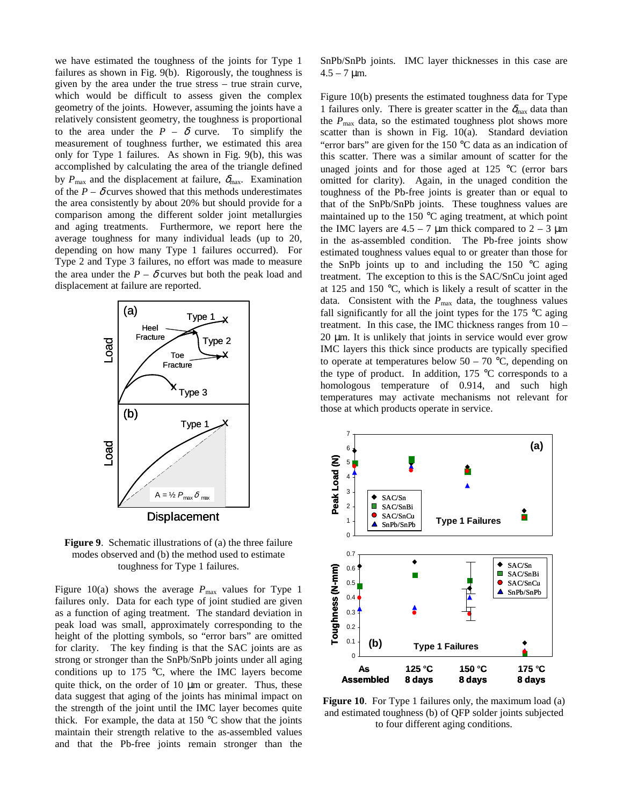we have estimated the toughness of the joints for Type 1 failures as shown in Fig. 9(b). Rigorously, the toughness is given by the area under the true stress – true strain curve, which would be difficult to assess given the complex geometry of the joints. However, assuming the joints have a relatively consistent geometry, the toughness is proportional to the area under the  $P - \delta$  curve. To simplify the measurement of toughness further, we estimated this area only for Type 1 failures. As shown in Fig. 9(b), this was accomplished by calculating the area of the triangle defined by  $P_{\text{max}}$  and the displacement at failure,  $\delta_{\text{max}}$ . Examination of the  $P - \delta$  curves showed that this methods underestimates the area consistently by about 20% but should provide for a comparison among the different solder joint metallurgies and aging treatments. Furthermore, we report here the average toughness for many individual leads (up to 20, depending on how many Type 1 failures occurred). For Type 2 and Type 3 failures, no effort was made to measure the area under the  $P - \delta$  curves but both the peak load and displacement at failure are reported.



**Figure 9**. Schematic illustrations of (a) the three failure modes observed and (b) the method used to estimate toughness for Type 1 failures.

Figure 10(a) shows the average  $P_{\text{max}}$  values for Type 1 failures only. Data for each type of joint studied are given as a function of aging treatment. The standard deviation in peak load was small, approximately corresponding to the height of the plotting symbols, so "error bars" are omitted for clarity. The key finding is that the SAC joints are as strong or stronger than the SnPb/SnPb joints under all aging conditions up to 175  $\degree$ C, where the IMC layers become quite thick, on the order of  $10 \mu m$  or greater. Thus, these data suggest that aging of the joints has minimal impact on the strength of the joint until the IMC layer becomes quite thick. For example, the data at  $150^{\circ}$ C show that the joints maintain their strength relative to the as-assembled values and that the Pb-free joints remain stronger than the SnPb/SnPb joints. IMC layer thicknesses in this case are  $4.5 - 7 \mu m$ .

Figure 10(b) presents the estimated toughness data for Type 1 failures only. There is greater scatter in the  $\delta_{\text{max}}$  data than the  $P_{\text{max}}$  data, so the estimated toughness plot shows more scatter than is shown in Fig. 10(a). Standard deviation "error bars" are given for the  $150^{\circ}$ C data as an indication of this scatter. There was a similar amount of scatter for the unaged joints and for those aged at 125 °C (error bars omitted for clarity). Again, in the unaged condition the toughness of the Pb-free joints is greater than or equal to that of the SnPb/SnPb joints. These toughness values are maintained up to the 150 °C aging treatment, at which point the IMC layers are  $4.5 - 7 \mu m$  thick compared to  $2 - 3 \mu m$ in the as-assembled condition. The Pb-free joints show estimated toughness values equal to or greater than those for the SnPb joints up to and including the 150  $\degree$ C aging treatment. The exception to this is the SAC/SnCu joint aged at 125 and 150 °C, which is likely a result of scatter in the data. Consistent with the  $P_{\text{max}}$  data, the toughness values fall significantly for all the joint types for the  $175 \text{ °C}$  aging treatment. In this case, the IMC thickness ranges from 10 –  $20 \mu m$ . It is unlikely that joints in service would ever grow IMC layers this thick since products are typically specified to operate at temperatures below  $50 - 70$  °C, depending on the type of product. In addition, 175 °C corresponds to a homologous temperature of 0.914, and such high temperatures may activate mechanisms not relevant for those at which products operate in service.



Figure 10. For Type 1 failures only, the maximum load (a) and estimated toughness (b) of QFP solder joints subjected to four different aging conditions.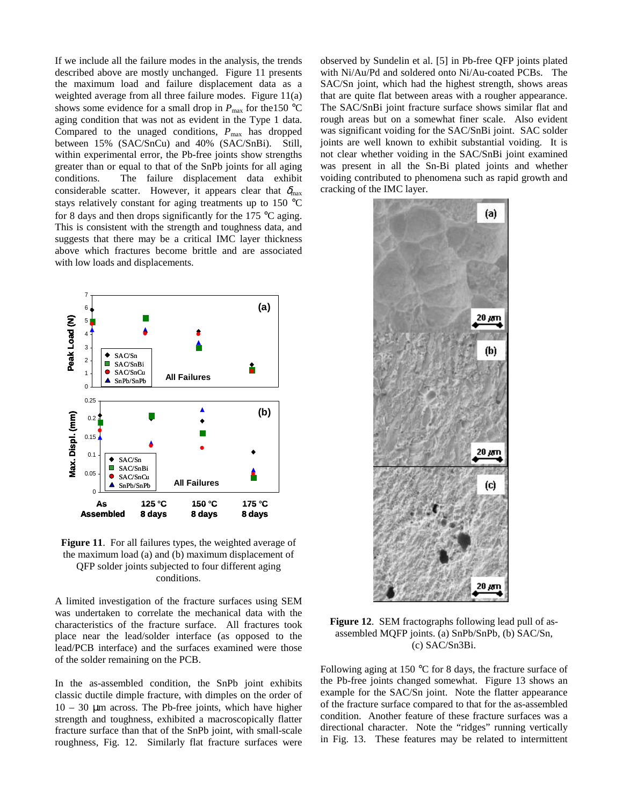If we include all the failure modes in the analysis, the trends described above are mostly unchanged. Figure 11 presents the maximum load and failure displacement data as a weighted average from all three failure modes. Figure 11(a) shows some evidence for a small drop in  $P_{\text{max}}$  for the 150 °C aging condition that was not as evident in the Type 1 data. Compared to the unaged conditions,  $P_{\text{max}}$  has dropped between 15% (SAC/SnCu) and 40% (SAC/SnBi). Still, within experimental error, the Pb-free joints show strengths greater than or equal to that of the SnPb joints for all aging conditions. The failure displacement data exhibit considerable scatter. However, it appears clear that  $\delta_{\text{max}}$ stays relatively constant for aging treatments up to 150 °C for 8 days and then drops significantly for the 175  $\degree$ C aging. This is consistent with the strength and toughness data, and suggests that there may be a critical IMC layer thickness above which fractures become brittle and are associated with low loads and displacements.



**Figure 11**. For all failures types, the weighted average of the maximum load (a) and (b) maximum displacement of QFP solder joints subjected to four different aging conditions.

A limited investigation of the fracture surfaces using SEM was undertaken to correlate the mechanical data with the characteristics of the fracture surface. All fractures took place near the lead/solder interface (as opposed to the lead/PCB interface) and the surfaces examined were those of the solder remaining on the PCB.

In the as-assembled condition, the SnPb joint exhibits classic ductile dimple fracture, with dimples on the order of  $10 - 30$  µm across. The Pb-free joints, which have higher strength and toughness, exhibited a macroscopically flatter fracture surface than that of the SnPb joint, with small-scale roughness, Fig. 12. Similarly flat fracture surfaces were observed by Sundelin et al. [5] in Pb-free QFP joints plated with Ni/Au/Pd and soldered onto Ni/Au-coated PCBs. The SAC/Sn joint, which had the highest strength, shows areas that are quite flat between areas with a rougher appearance. The SAC/SnBi joint fracture surface shows similar flat and rough areas but on a somewhat finer scale. Also evident was significant voiding for the SAC/SnBi joint. SAC solder joints are well known to exhibit substantial voiding. It is not clear whether voiding in the SAC/SnBi joint examined was present in all the Sn-Bi plated joints and whether voiding contributed to phenomena such as rapid growth and cracking of the IMC layer.



**Figure 12**. SEM fractographs following lead pull of asassembled MQFP joints. (a) SnPb/SnPb, (b) SAC/Sn, (c) SAC/Sn3Bi.

Following aging at 150 °C for 8 days, the fracture surface of the Pb-free joints changed somewhat. Figure 13 shows an example for the SAC/Sn joint. Note the flatter appearance of the fracture surface compared to that for the as-assembled condition. Another feature of these fracture surfaces was a directional character. Note the "ridges" running vertically in Fig. 13. These features may be related to intermittent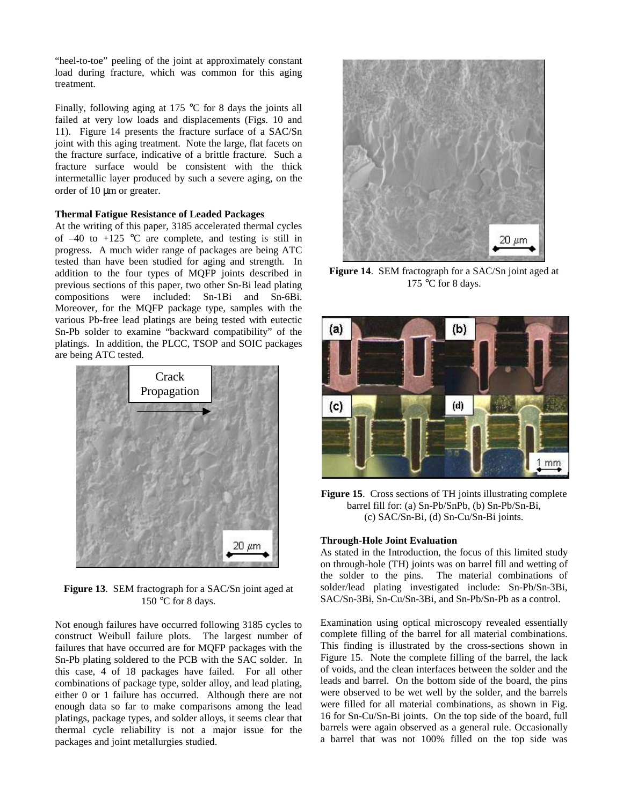"heel-to-toe" peeling of the joint at approximately constant load during fracture, which was common for this aging treatment.

Finally, following aging at 175 °C for 8 days the joints all failed at very low loads and displacements (Figs. 10 and 11). Figure 14 presents the fracture surface of a SAC/Sn joint with this aging treatment. Note the large, flat facets on the fracture surface, indicative of a brittle fracture. Such a fracture surface would be consistent with the thick intermetallic layer produced by such a severe aging, on the order of 10 µm or greater.

#### **Thermal Fatigue Resistance of Leaded Packages**

At the writing of this paper, 3185 accelerated thermal cycles of  $-40$  to  $+125$  °C are complete, and testing is still in progress. A much wider range of packages are being ATC tested than have been studied for aging and strength. In addition to the four types of MQFP joints described in previous sections of this paper, two other Sn-Bi lead plating compositions were included: Sn-1Bi and Sn-6Bi. Moreover, for the MQFP package type, samples with the various Pb-free lead platings are being tested with eutectic Sn-Pb solder to examine "backward compatibility" of the platings. In addition, the PLCC, TSOP and SOIC packages are being ATC tested.



**Figure 13**. SEM fractograph for a SAC/Sn joint aged at 150 °C for 8 days.

Not enough failures have occurred following 3185 cycles to construct Weibull failure plots. The largest number of failures that have occurred are for MQFP packages with the Sn-Pb plating soldered to the PCB with the SAC solder. In this case, 4 of 18 packages have failed. For all other combinations of package type, solder alloy, and lead plating, either 0 or 1 failure has occurred. Although there are not enough data so far to make comparisons among the lead platings, package types, and solder alloys, it seems clear that thermal cycle reliability is not a major issue for the packages and joint metallurgies studied.



**Figure 14**. SEM fractograph for a SAC/Sn joint aged at 175 °C for 8 days.



**Figure 15**. Cross sections of TH joints illustrating complete barrel fill for: (a) Sn-Pb/SnPb, (b) Sn-Pb/Sn-Bi, (c) SAC/Sn-Bi, (d) Sn-Cu/Sn-Bi joints.

## **Through-Hole Joint Evaluation**

As stated in the Introduction, the focus of this limited study on through-hole (TH) joints was on barrel fill and wetting of the solder to the pins. The material combinations of solder/lead plating investigated include: Sn-Pb/Sn-3Bi, SAC/Sn-3Bi, Sn-Cu/Sn-3Bi, and Sn-Pb/Sn-Pb as a control.

Examination using optical microscopy revealed essentially complete filling of the barrel for all material combinations. This finding is illustrated by the cross-sections shown in Figure 15. Note the complete filling of the barrel, the lack of voids, and the clean interfaces between the solder and the leads and barrel. On the bottom side of the board, the pins were observed to be wet well by the solder, and the barrels were filled for all material combinations, as shown in Fig. 16 for Sn-Cu/Sn-Bi joints. On the top side of the board, full barrels were again observed as a general rule. Occasionally a barrel that was not 100% filled on the top side was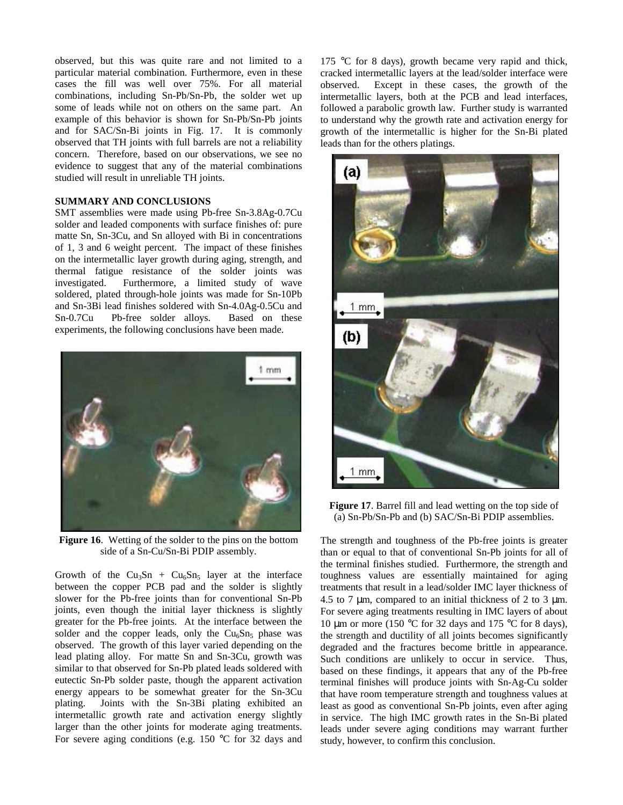observed, but this was quite rare and not limited to a particular material combination. Furthermore, even in these cases the fill was well over 75%. For all material combinations, including Sn-Pb/Sn-Pb, the solder wet up some of leads while not on others on the same part. An example of this behavior is shown for Sn-Pb/Sn-Pb joints and for SAC/Sn-Bi joints in Fig. 17. It is commonly observed that TH joints with full barrels are not a reliability concern. Therefore, based on our observations, we see no evidence to suggest that any of the material combinations studied will result in unreliable TH joints.

#### **SUMMARY AND CONCLUSIONS**

SMT assemblies were made using Pb-free Sn-3.8Ag-0.7Cu solder and leaded components with surface finishes of: pure matte Sn, Sn-3Cu, and Sn alloyed with Bi in concentrations of 1, 3 and 6 weight percent. The impact of these finishes on the intermetallic layer growth during aging, strength, and thermal fatigue resistance of the solder joints was investigated. Furthermore, a limited study of wave soldered, plated through-hole joints was made for Sn-10Pb and Sn-3Bi lead finishes soldered with Sn-4.0Ag-0.5Cu and Sn-0.7Cu Pb-free solder alloys. Based on these experiments, the following conclusions have been made.



**Figure 16**. Wetting of the solder to the pins on the bottom side of a Sn-Cu/Sn-Bi PDIP assembly.

Growth of the Cu<sub>3</sub>Sn + Cu<sub>6</sub>Sn<sub>5</sub> layer at the interface between the copper PCB pad and the solder is slightly slower for the Pb-free joints than for conventional Sn-Pb joints, even though the initial layer thickness is slightly greater for the Pb-free joints. At the interface between the solder and the copper leads, only the  $Cu<sub>6</sub>Sn<sub>5</sub>$  phase was observed. The growth of this layer varied depending on the lead plating alloy. For matte Sn and Sn-3Cu, growth was similar to that observed for Sn-Pb plated leads soldered with eutectic Sn-Pb solder paste, though the apparent activation energy appears to be somewhat greater for the Sn-3Cu plating. Joints with the Sn-3Bi plating exhibited an intermetallic growth rate and activation energy slightly larger than the other joints for moderate aging treatments. For severe aging conditions (e.g. 150 °C for 32 days and

175 °C for 8 days), growth became very rapid and thick, cracked intermetallic layers at the lead/solder interface were observed. Except in these cases, the growth of the intermetallic layers, both at the PCB and lead interfaces, followed a parabolic growth law. Further study is warranted to understand why the growth rate and activation energy for growth of the intermetallic is higher for the Sn-Bi plated leads than for the others platings.



**Figure 17**. Barrel fill and lead wetting on the top side of (a) Sn-Pb/Sn-Pb and (b) SAC/Sn-Bi PDIP assemblies.

The strength and toughness of the Pb-free joints is greater than or equal to that of conventional Sn-Pb joints for all of the terminal finishes studied. Furthermore, the strength and toughness values are essentially maintained for aging treatments that result in a lead/solder IMC layer thickness of 4.5 to 7 µm, compared to an initial thickness of 2 to 3 µm. For severe aging treatments resulting in IMC layers of about 10  $\mu$ m or more (150 °C for 32 days and 175 °C for 8 days), the strength and ductility of all joints becomes significantly degraded and the fractures become brittle in appearance. Such conditions are unlikely to occur in service. Thus, based on these findings, it appears that any of the Pb-free terminal finishes will produce joints with Sn-Ag-Cu solder that have room temperature strength and toughness values at least as good as conventional Sn-Pb joints, even after aging in service. The high IMC growth rates in the Sn-Bi plated leads under severe aging conditions may warrant further study, however, to confirm this conclusion.